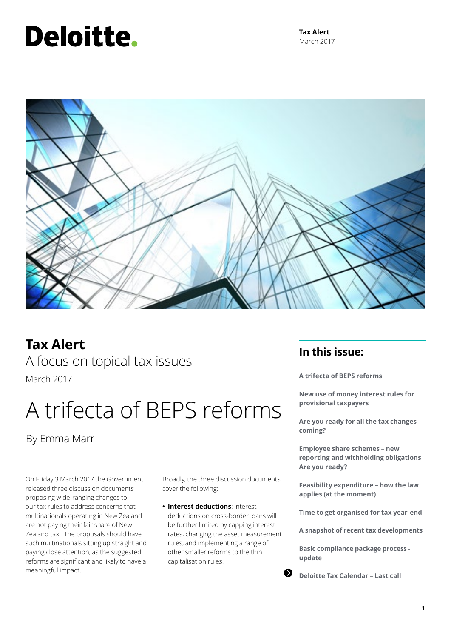# Deloitte.

**Tax Alert** March 2017



**Tax Alert** A focus on topical tax issues March 2017

# A trifecta of BEPS reforms

By Emma Marr

On Friday 3 March 2017 the Government released three discussion documents proposing wide-ranging changes to our tax rules to address concerns that multinationals operating in New Zealand are not paying their fair share of New Zealand tax. The proposals should have such multinationals sitting up straight and paying close attention, as the suggested reforms are significant and likely to have a meaningful impact.

Broadly, the three discussion documents cover the following:

**• Interest deductions**: interest deductions on cross-border loans will be further limited by capping interest rates, changing the asset measurement rules, and implementing a range of other smaller reforms to the thin capitalisation rules.

# **In this issue:**

**A trifecta of BEPS reforms**

**New use of money interest rules for provisional taxpayers**

**Are you ready for all the tax changes coming?**

**Employee share schemes – new reporting and withholding obligations Are you ready?**

**Feasibility expenditure – how the law applies (at the moment)**

**Time to get organised for tax year-end**

**A snapshot of recent tax developments**

**Basic compliance package process update** 

**Deloitte Tax Calendar – Last call**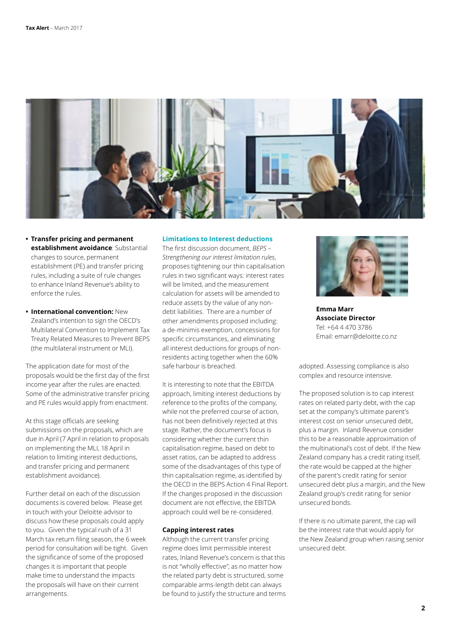

- **• Transfer pricing and permanent establishment avoidance**: Substantial changes to source, permanent establishment (PE) and transfer pricing rules, including a suite of rule changes to enhance Inland Revenue's ability to enforce the rules.
- **• International convention:** New Zealand's intention to sign the OECD's Multilateral Convention to Implement Tax Treaty Related Measures to Prevent BEPS (the multilateral instrument or MLI).

The application date for most of the proposals would be the first day of the first income year after the rules are enacted. Some of the administrative transfer pricing and PE rules would apply from enactment.

At this stage officials are seeking submissions on the proposals, which are due in April (7 April in relation to proposals on implementing the MLI, 18 April in relation to limiting interest deductions, and transfer pricing and permanent establishment avoidance).

Further detail on each of the discussion documents is covered below. Please get in touch with your Deloitte advisor to discuss how these proposals could apply to you. Given the typical rush of a 31 March tax return filing season, the 6 week period for consultation will be tight. Given the significance of some of the proposed changes it is important that people make time to understand the impacts the proposals will have on their current arrangements.

# **Limitations to Interest deductions**

The first discussion document, *BEPS – Strengthening our interest limitation rules*, proposes tightening our thin capitalisation rules in two significant ways: interest rates will be limited, and the measurement calculation for assets will be amended to reduce assets by the value of any nondebt liabilities. There are a number of other amendments proposed including: a de-minimis exemption, concessions for specific circumstances, and eliminating all interest deductions for groups of nonresidents acting together when the 60% safe harbour is breached.

It is interesting to note that the EBITDA approach, limiting interest deductions by reference to the profits of the company, while not the preferred course of action, has not been definitively rejected at this stage. Rather, the document's focus is considering whether the current thin capitalisation regime, based on debt to asset ratios, can be adapted to address some of the disadvantages of this type of thin capitalisation regime, as identified by the OECD in the BEPS Action 4 Final Report. If the changes proposed in the discussion document are not effective, the EBITDA approach could well be re-considered.

# **Capping interest rates**

Although the current transfer pricing regime does limit permissible interest rates, Inland Revenue's concern is that this is not "wholly effective", as no matter how the related party debt is structured, some comparable arms-length debt can always be found to justify the structure and terms



**Emma Marr Associate Director** Tel: +64 4 470 3786 Email: emarr@deloitte.co.nz

adopted. Assessing compliance is also complex and resource intensive.

The proposed solution is to cap interest rates on related party debt, with the cap set at the company's ultimate parent's interest cost on senior unsecured debt, plus a margin. Inland Revenue consider this to be a reasonable approximation of the multinational's cost of debt. If the New Zealand company has a credit rating itself, the rate would be capped at the higher of the parent's credit rating for senior unsecured debt plus a margin, and the New Zealand group's credit rating for senior unsecured bonds.

If there is no ultimate parent, the cap will be the interest rate that would apply for the New Zealand group when raising senior unsecured debt.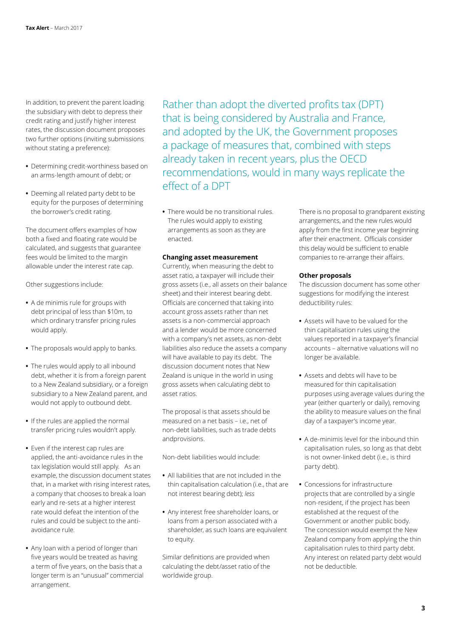In addition, to prevent the parent loading the subsidiary with debt to depress their credit rating and justify higher interest rates, the discussion document proposes two further options (inviting submissions without stating a preference):

- **•** Determining credit-worthiness based on an arms-length amount of debt; or
- **•** Deeming all related party debt to be equity for the purposes of determining the borrower's credit rating.

The document offers examples of how both a fixed and floating rate would be calculated, and suggests that guarantee fees would be limited to the margin allowable under the interest rate cap.

Other suggestions include:

- **•** A de minimis rule for groups with debt principal of less than \$10m, to which ordinary transfer pricing rules would apply.
- **•** The proposals would apply to banks.
- **•** The rules would apply to all inbound debt, whether it is from a foreign parent to a New Zealand subsidiary, or a foreign subsidiary to a New Zealand parent, and would not apply to outbound debt.
- **•** If the rules are applied the normal transfer pricing rules wouldn't apply.
- **•** Even if the interest cap rules are applied, the anti-avoidance rules in the tax legislation would still apply. As an example, the discussion document states that, in a market with rising interest rates, a company that chooses to break a loan early and re-sets at a higher interest rate would defeat the intention of the rules and could be subject to the antiavoidance rule.
- **•** Any loan with a period of longer than five years would be treated as having a term of five years, on the basis that a longer term is an "unusual" commercial arrangement.

Rather than adopt the diverted profits tax (DPT) that is being considered by Australia and France, and adopted by the UK, the Government proposes a package of measures that, combined with steps already taken in recent years, plus the OECD recommendations, would in many ways replicate the effect of a DPT

**•** There would be no transitional rules. The rules would apply to existing arrangements as soon as they are enacted.

# **Changing asset measurement**

Currently, when measuring the debt to asset ratio, a taxpayer will include their gross assets (i.e., all assets on their balance sheet) and their interest bearing debt. Officials are concerned that taking into account gross assets rather than net assets is a non-commercial approach and a lender would be more concerned with a company's net assets, as non-debt liabilities also reduce the assets a company will have available to pay its debt. The discussion document notes that New Zealand is unique in the world in using gross assets when calculating debt to asset ratios.

The proposal is that assets should be measured on a net basis – i.e., net of non-debt liabilities, such as trade debts andprovisions.

Non-debt liabilities would include:

- **•** All liabilities that are not included in the thin capitalisation calculation (i.e., that are not interest bearing debt); *less*
- **•** Any interest free shareholder loans, or loans from a person associated with a shareholder, as such loans are equivalent to equity.

Similar definitions are provided when calculating the debt/asset ratio of the worldwide group.

There is no proposal to grandparent existing arrangements, and the new rules would apply from the first income year beginning after their enactment. Officials consider this delay would be sufficient to enable companies to re-arrange their affairs.

# **Other proposals**

The discussion document has some other suggestions for modifying the interest deductibility rules:

- **•** Assets will have to be valued for the thin capitalisation rules using the values reported in a taxpayer's financial accounts – alternative valuations will no longer be available.
- **•** Assets and debts will have to be measured for thin capitalisation purposes using average values during the year (either quarterly or daily), removing the ability to measure values on the final day of a taxpayer's income year.
- **•** A de-minimis level for the inbound thin capitalisation rules, so long as that debt is not owner-linked debt (i.e., is third party debt).
- **•** Concessions for infrastructure projects that are controlled by a single non-resident, if the project has been established at the request of the Government or another public body. The concession would exempt the New Zealand company from applying the thin capitalisation rules to third party debt. Any interest on related party debt would not be deductible.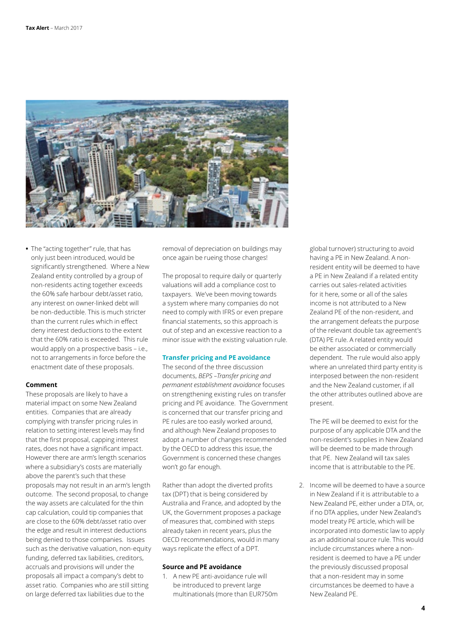

**•** The "acting together" rule, that has only just been introduced, would be significantly strengthened. Where a New Zealand entity controlled by a group of non-residents acting together exceeds the 60% safe harbour debt/asset ratio, any interest on owner-linked debt will be non-deductible. This is much stricter than the current rules which in effect deny interest deductions to the extent that the 60% ratio is exceeded. This rule would apply on a prospective basis – i.e., not to arrangements in force before the enactment date of these proposals.

### **Comment**

These proposals are likely to have a material impact on some New Zealand entities. Companies that are already complying with transfer pricing rules in relation to setting interest levels may find that the first proposal, capping interest rates, does not have a significant impact. However there are arm's length scenarios where a subsidiary's costs are materially above the parent's such that these proposals may not result in an arm's length outcome. The second proposal, to change the way assets are calculated for the thin cap calculation, could tip companies that are close to the 60% debt/asset ratio over the edge and result in interest deductions being denied to those companies. Issues such as the derivative valuation, non-equity funding, deferred tax liabilities, creditors, accruals and provisions will under the proposals all impact a company's debt to asset ratio. Companies who are still sitting on large deferred tax liabilities due to the

removal of depreciation on buildings may once again be rueing those changes!

The proposal to require daily or quarterly valuations will add a compliance cost to taxpayers. We've been moving towards a system where many companies do not need to comply with IFRS or even prepare financial statements, so this approach is out of step and an excessive reaction to a minor issue with the existing valuation rule.

# **Transfer pricing and PE avoidance**

The second of the three discussion documents, *BEPS –Transfer pricing and permanent establishment avoidance* focuses on strengthening existing rules on transfer pricing and PE avoidance. The Government is concerned that our transfer pricing and PE rules are too easily worked around, and although New Zealand proposes to adopt a number of changes recommended by the OECD to address this issue, the Government is concerned these changes won't go far enough.

Rather than adopt the diverted profits tax (DPT) that is being considered by Australia and France, and adopted by the UK, the Government proposes a package of measures that, combined with steps already taken in recent years, plus the OECD recommendations, would in many ways replicate the effect of a DPT.

# **Source and PE avoidance**

1. A new PE anti-avoidance rule will be introduced to prevent large multinationals (more than EUR750m global turnover) structuring to avoid having a PE in New Zealand. A nonresident entity will be deemed to have a PE in New Zealand if a related entity carries out sales-related activities for it here, some or all of the sales income is not attributed to a New Zealand PE of the non-resident, and the arrangement defeats the purpose of the relevant double tax agreement's (DTA) PE rule. A related entity would be either associated or commercially dependent. The rule would also apply where an unrelated third party entity is interposed between the non-resident and the New Zealand customer, if all the other attributes outlined above are present.

The PE will be deemed to exist for the purpose of any applicable DTA and the non-resident's supplies in New Zealand will be deemed to be made through that PE. New Zealand will tax sales income that is attributable to the PE.

2. Income will be deemed to have a source in New Zealand if it is attributable to a New Zealand PE, either under a DTA, or, if no DTA applies, under New Zealand's model treaty PE article, which will be incorporated into domestic law to apply as an additional source rule. This would include circumstances where a nonresident is deemed to have a PE under the previously discussed proposal that a non-resident may in some circumstances be deemed to have a New Zealand PE.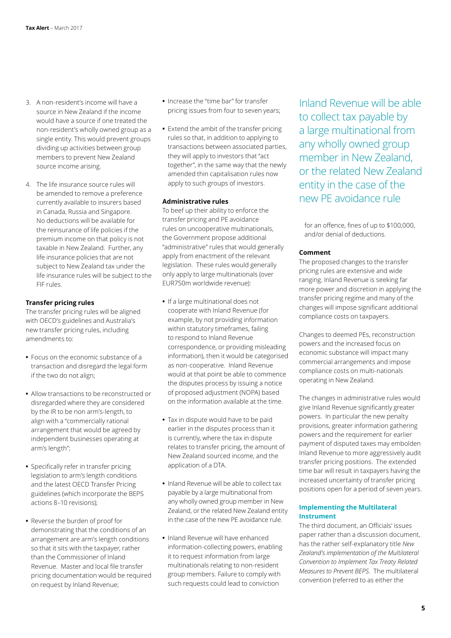- 3. A non-resident's income will have a source in New Zealand if the income would have a source if one treated the non-resident's wholly owned group as a single entity. This would prevent groups dividing up activities between group members to prevent New Zealand source income arising.
- 4. The life insurance source rules will be amended to remove a preference currently available to insurers based in Canada, Russia and Singapore. No deductions will be available for the reinsurance of life policies if the premium income on that policy is not taxable in New Zealand. Further, any life insurance policies that are not subject to New Zealand tax under the life insurance rules will be subject to the FIF rules.

# **Transfer pricing rules**

The transfer pricing rules will be aligned with OECD's guidelines and Australia's new transfer pricing rules, including amendments to:

- **•** Focus on the economic substance of a transaction and disregard the legal form if the two do not align;
- **•** Allow transactions to be reconstructed or disregarded where they are considered by the IR to be non arm's-length, to align with a "commercially rational arrangement that would be agreed by independent businesses operating at arm's length";
- **•** Specifically refer in transfer pricing legislation to arm's length conditions and the latest OECD Transfer Pricing guidelines (which incorporate the BEPS actions 8–10 revisions);
- **•** Reverse the burden of proof for demonstrating that the conditions of an arrangement are arm's length conditions so that it sits with the taxpayer, rather than the Commissioner of Inland Revenue. Master and local file transfer pricing documentation would be required on request by Inland Revenue;
- **•** Increase the "time bar" for transfer pricing issues from four to seven years;
- **•** Extend the ambit of the transfer pricing rules so that, in addition to applying to transactions between associated parties, they will apply to investors that "act together", in the same way that the newly amended thin capitalisation rules now apply to such groups of investors.

# **Administrative rules**

To beef up their ability to enforce the transfer pricing and PE avoidance rules on uncooperative multinationals, the Government propose additional "administrative" rules that would generally apply from enactment of the relevant legislation. These rules would generally only apply to large multinationals (over EUR750m worldwide revenue):

- **•** If a large multinational does not cooperate with Inland Revenue (for example, by not providing information within statutory timeframes, failing to respond to Inland Revenue correspondence, or providing misleading information), then it would be categorised as non-cooperative. Inland Revenue would at that point be able to commence the disputes process by issuing a notice of proposed adjustment (NOPA) based on the information available at the time.
- **•** Tax in dispute would have to be paid earlier in the disputes process than it is currently, where the tax in dispute relates to transfer pricing, the amount of New Zealand sourced income, and the application of a DTA.
- **•** Inland Revenue will be able to collect tax payable by a large multinational from any wholly owned group member in New Zealand, or the related New Zealand entity in the case of the new PE avoidance rule.
- **•** Inland Revenue will have enhanced information-collecting powers, enabling it to request information from large multinationals relating to non-resident group members. Failure to comply with such requests could lead to conviction

Inland Revenue will be able to collect tax payable by a large multinational from any wholly owned group member in New Zealand, or the related New Zealand entity in the case of the new PE avoidance rule

for an offence, fines of up to \$100,000, and/or denial of deductions.

# **Comment**

The proposed changes to the transfer pricing rules are extensive and wide ranging. Inland Revenue is seeking far more power and discretion in applying the transfer pricing regime and many of the changes will impose significant additional compliance costs on taxpayers.

Changes to deemed PEs, reconstruction powers and the increased focus on economic substance will impact many commercial arrangements and impose compliance costs on multi-nationals operating in New Zealand.

The changes in administrative rules would give Inland Revenue significantly greater powers. In particular the new penalty provisions, greater information gathering powers and the requirement for earlier payment of disputed taxes may embolden Inland Revenue to more aggressively audit transfer pricing positions. The extended time bar will result in taxpayers having the increased uncertainty of transfer pricing positions open for a period of seven years.

# **Implementing the Multilateral Instrument**

The third document, an Officials' issues paper rather than a discussion document, has the rather self-explanatory title *New Zealand's implementation of the Multilateral Convention to Implement Tax Treaty Related Measures to Prevent BEPS*. The multilateral convention (referred to as either the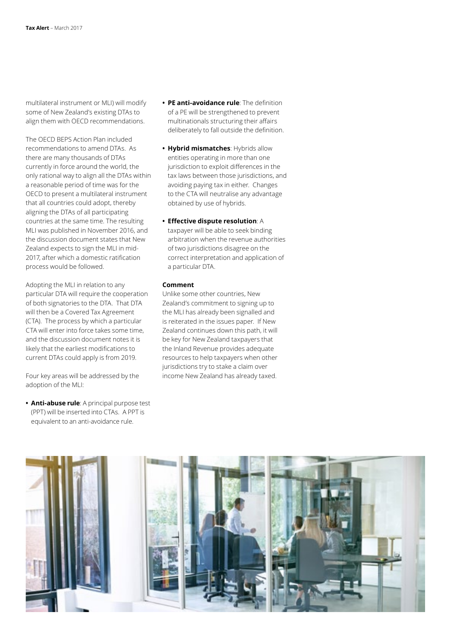multilateral instrument or MLI) will modify some of New Zealand's existing DTAs to align them with OECD recommendations.

The OECD BEPS Action Plan included recommendations to amend DTAs. As there are many thousands of DTAs currently in force around the world, the only rational way to align all the DTAs within a reasonable period of time was for the OECD to present a multilateral instrument that all countries could adopt, thereby aligning the DTAs of all participating countries at the same time. The resulting MLI was published in November 2016, and the discussion document states that New Zealand expects to sign the MLI in mid-2017, after which a domestic ratification process would be followed.

Adopting the MLI in relation to any particular DTA will require the cooperation of both signatories to the DTA. That DTA will then be a Covered Tax Agreement (CTA). The process by which a particular CTA will enter into force takes some time, and the discussion document notes it is likely that the earliest modifications to current DTAs could apply is from 2019.

Four key areas will be addressed by the adoption of the MLI:

**• Anti-abuse rule**: A principal purpose test (PPT) will be inserted into CTAs. A PPT is equivalent to an anti-avoidance rule.

- **• PE anti-avoidance rule**: The definition of a PE will be strengthened to prevent multinationals structuring their affairs deliberately to fall outside the definition.
- **• Hybrid mismatches**: Hybrids allow entities operating in more than one jurisdiction to exploit differences in the tax laws between those jurisdictions, and avoiding paying tax in either. Changes to the CTA will neutralise any advantage obtained by use of hybrids.
- **• Effective dispute resolution**: A taxpayer will be able to seek binding arbitration when the revenue authorities of two jurisdictions disagree on the correct interpretation and application of a particular DTA.

# **Comment**

Unlike some other countries, New Zealand's commitment to signing up to the MLI has already been signalled and is reiterated in the issues paper. If New Zealand continues down this path, it will be key for New Zealand taxpayers that the Inland Revenue provides adequate resources to help taxpayers when other jurisdictions try to stake a claim over income New Zealand has already taxed.

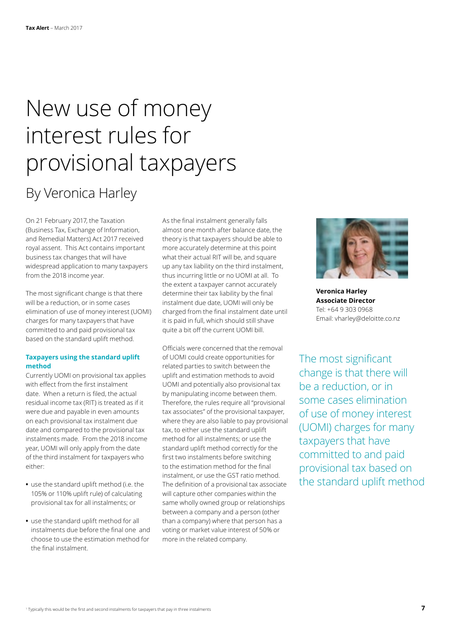# <span id="page-6-0"></span>New use of money interest rules for provisional taxpayers By Veronica Harley

On 21 February 2017, the Taxation (Business Tax, Exchange of Information, and Remedial Matters) Act 2017 received royal assent. This Act contains important business tax changes that will have widespread application to many taxpayers from the 2018 income year.

The most significant change is that there will be a reduction, or in some cases elimination of use of money interest (UOMI) charges for many taxpayers that have committed to and paid provisional tax based on the standard uplift method.

# **Taxpayers using the standard uplift method**

Currently UOMI on provisional tax applies with effect from the first instalment date. When a return is filed, the actual residual income tax (RIT) is treated as if it were due and payable in even amounts on each provisional tax instalment due date and compared to the provisional tax instalments made. From the 2018 income year, UOMI will only apply from the date of the third instalment for taxpayers who either:

- **•** use the standard uplift method (i.e. the 105% or 110% uplift rule) of calculating provisional tax for all instalments; or
- **•** use the standard uplift method for all instalments due before the final one and choose to use the estimation method for the final instalment.

As the final instalment generally falls almost one month after balance date, the theory is that taxpayers should be able to more accurately determine at this point what their actual RIT will be, and square up any tax liability on the third instalment, thus incurring little or no UOMI at all. To the extent a taxpayer cannot accurately determine their tax liability by the final instalment due date, UOMI will only be charged from the final instalment date until it is paid in full, which should still shave quite a bit off the current UOMI bill.

Officials were concerned that the removal of UOMI could create opportunities for related parties to switch between the uplift and estimation methods to avoid UOMI and potentially also provisional tax by manipulating income between them. Therefore, the rules require all "provisional tax associates" of the provisional taxpayer, where they are also liable to pay provisional tax, to either use the standard uplift method for all instalments; or use the standard uplift method correctly for the first two instalments before switching to the estimation method for the final instalment, or use the GST ratio method. The definition of a provisional tax associate will capture other companies within the same wholly owned group or relationships between a company and a person (other than a company) where that person has a voting or market value interest of 50% or more in the related company.



**Veronica Harley Associate Director** Tel: +64 9 303 0968 Email: vharley@deloitte.co.nz

The most significant change is that there will be a reduction, or in some cases elimination of use of money interest (UOMI) charges for many taxpayers that have committed to and paid provisional tax based on the standard uplift method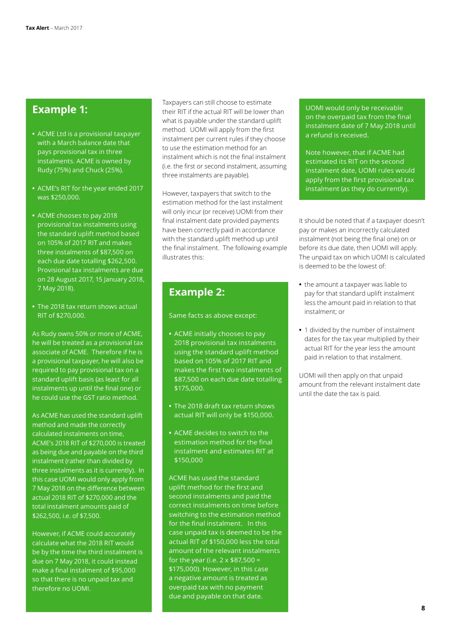# **Example 1:**

- **•** ACME Ltd is a provisional taxpayer with a March balance date that pays provisional tax in three instalments. ACME is owned by Rudy (75%) and Chuck (25%).
- **•** ACME's RIT for the year ended 2017 was \$250,000.
- **•** ACME chooses to pay 2018 provisional tax instalments using the standard uplift method based on 105% of 2017 RIT and makes three instalments of \$87,500 on each due date totalling \$262,500. Provisional tax instalments are due on 28 August 2017, 15 January 2018, 7 May 2018).
- **•** The 2018 tax return shows actual RIT of \$270,000.

As Rudy owns 50% or more of ACME, he will be treated as a provisional tax associate of ACME. Therefore if he is a provisional taxpayer, he will also be required to pay provisional tax on a standard uplift basis (as least for all instalments up until the final one) or he could use the GST ratio method.

As ACME has used the standard uplift method and made the correctly calculated instalments on time, ACME's 2018 RIT of \$270,000 is treated as being due and payable on the third instalment (rather than divided by three instalments as it is currently). In this case UOMI would only apply from 7 May 2018 on the difference between actual 2018 RIT of \$270,000 and the total instalment amounts paid of \$262,500, i.e. of \$7,500.

However, if ACME could accurately calculate what the 2018 RIT would be by the time the third instalment is due on 7 May 2018, it could instead make a final instalment of \$95,000 so that there is no unpaid tax and therefore no UOMI.

Taxpayers can still choose to estimate their RIT if the actual RIT will be lower than what is payable under the standard uplift method. UOMI will apply from the first instalment per current rules if they choose to use the estimation method for an instalment which is not the final instalment (i.e. the first or second instalment, assuming three instalments are payable).

However, taxpayers that switch to the estimation method for the last instalment will only incur (or receive) UOMI from their final instalment date provided payments have been correctly paid in accordance with the standard uplift method up until the final instalment. The following example illustrates this:

# **Example 2:**

Same facts as above except:

- **•** ACME initially chooses to pay 2018 provisional tax instalments using the standard uplift method based on 105% of 2017 RIT and makes the first two instalments of \$87,500 on each due date totalling \$175,000.
- **•** The 2018 draft tax return shows actual RIT will only be \$150,000.
- **•** ACME decides to switch to the estimation method for the final instalment and estimates RIT at \$150,000

ACME has used the standard uplift method for the first and second instalments and paid the correct instalments on time before switching to the estimation method for the final instalment. In this case unpaid tax is deemed to be the actual RIT of \$150,000 less the total amount of the relevant instalments for the year (i.e.  $2 \times $87,500 =$ \$175,000). However, in this case a negative amount is treated as overpaid tax with no payment due and payable on that date.

UOMI would only be receivable on the overpaid tax from the final instalment date of 7 May 2018 until a refund is received.

Note however, that if ACME had estimated its RIT on the second instalment date, UOMI rules would apply from the first provisional tax instalment (as they do currently).

It should be noted that if a taxpayer doesn't pay or makes an incorrectly calculated instalment (not being the final one) on or before its due date, then UOMI will apply. The unpaid tax on which UOMI is calculated is deemed to be the lowest of:

- **•** the amount a taxpayer was liable to pay for that standard uplift instalment less the amount paid in relation to that instalment; or
- **•** 1 divided by the number of instalment dates for the tax year multiplied by their actual RIT for the year less the amount paid in relation to that instalment.

UOMI will then apply on that unpaid amount from the relevant instalment date until the date the tax is paid.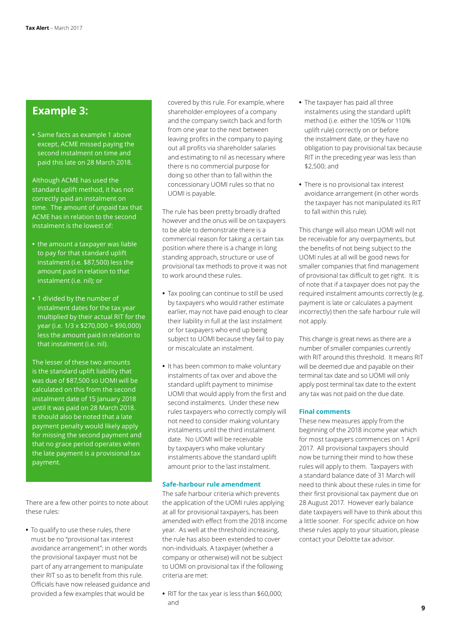# **Example 3:**

**•** Same facts as example 1 above except, ACME missed paying the second instalment on time and paid this late on 28 March 2018.

Although ACME has used the standard uplift method, it has not correctly paid an instalment on time. The amount of unpaid tax that ACME has in relation to the second instalment is the lowest of:

- **•** the amount a taxpayer was liable to pay for that standard uplift instalment (i.e. \$87,500) less the amount paid in relation to that instalment (i.e. nil); or
- **•** 1 divided by the number of instalment dates for the tax year multiplied by their actual RIT for the year (i.e. 1/3 x \$270,000 = \$90,000) less the amount paid in relation to that instalment (i.e. nil).

The lesser of these two amounts is the standard uplift liability that was due of \$87,500 so UOMI will be calculated on this from the second instalment date of 15 January 2018 until it was paid on 28 March 2018. It should also be noted that a late payment penalty would likely apply for missing the second payment and that no grace period operates when the late payment is a provisional tax payment.

There are a few other points to note about these rules:

**•** To qualify to use these rules, there must be no "provisional tax interest avoidance arrangement"; in other words the provisional taxpayer must not be part of any arrangement to manipulate their RIT so as to benefit from this rule. Officials have now released guidance and provided a few examples that would be

covered by this rule. For example, where shareholder-employees of a company and the company switch back and forth from one year to the next between leaving profits in the company to paying out all profits via shareholder salaries and estimating to nil as necessary where there is no commercial purpose for doing so other than to fall within the concessionary UOMI rules so that no UOMI is payable.

The rule has been pretty broadly drafted however and the onus will be on taxpayers to be able to demonstrate there is a commercial reason for taking a certain tax position where there is a change in long standing approach, structure or use of provisional tax methods to prove it was not to work around these rules.

- **•** Tax pooling can continue to still be used by taxpayers who would rather estimate earlier, may not have paid enough to clear their liability in full at the last instalment or for taxpayers who end up being subject to UOMI because they fail to pay or miscalculate an instalment.
- **•** It has been common to make voluntary instalments of tax over and above the standard uplift payment to minimise UOMI that would apply from the first and second instalments. Under these new rules taxpayers who correctly comply will not need to consider making voluntary instalments until the third instalment date. No UOMI will be receivable by taxpayers who make voluntary instalments above the standard uplift amount prior to the last instalment.

### **Safe-harbour rule amendment**

The safe harbour criteria which prevents the application of the UOMI rules applying at all for provisional taxpayers, has been amended with effect from the 2018 income year. As well at the threshold increasing, the rule has also been extended to cover non-individuals. A taxpayer (whether a company or otherwise) will not be subject to UOMI on provisional tax if the following criteria are met:

**•** RIT for the tax year is less than \$60,000; and

- **•** The taxpayer has paid all three instalments using the standard uplift method (i.e. either the 105% or 110% uplift rule) correctly on or before the instalment date, or they have no obligation to pay provisional tax because RIT in the preceding year was less than \$2,500; and
- **•** There is no provisional tax interest avoidance arrangement (in other words the taxpayer has not manipulated its RIT to fall within this rule).

This change will also mean UOMI will not be receivable for any overpayments, but the benefits of not being subject to the UOMI rules at all will be good news for smaller companies that find management of provisional tax difficult to get right. It is of note that if a taxpayer does not pay the required instalment amounts correctly (e.g. payment is late or calculates a payment incorrectly) then the safe harbour rule will not apply.

This change is great news as there are a number of smaller companies currently with RIT around this threshold. It means RIT will be deemed due and payable on their terminal tax date and so UOMI will only apply post terminal tax date to the extent any tax was not paid on the due date.

# **Final comments**

These new measures apply from the beginning of the 2018 income year which for most taxpayers commences on 1 April 2017. All provisional taxpayers should now be turning their mind to how these rules will apply to them. Taxpayers with a standard balance date of 31 March will need to think about these rules in time for their first provisional tax payment due on 28 August 2017. However early balance date taxpayers will have to think about this a little sooner. For specific advice on how these rules apply to your situation, please contact your Deloitte tax advisor.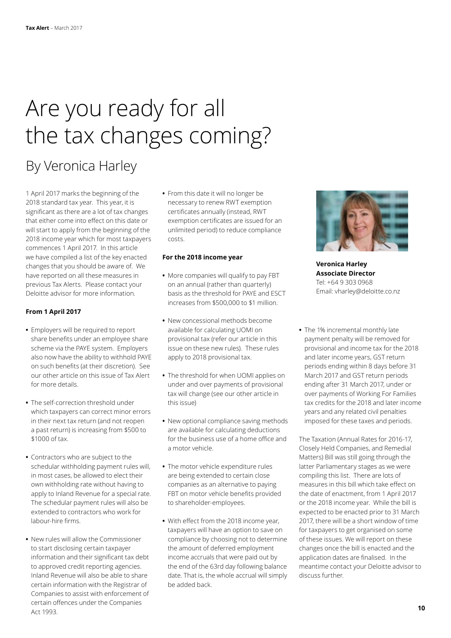# Are you ready for all the tax changes coming?

# By Veronica Harley

1 April 2017 marks the beginning of the 2018 standard tax year. This year, it is significant as there are a lot of tax changes that either come into effect on this date or will start to apply from the beginning of the 2018 income year which for most taxpayers commences 1 April 2017. In this article we have compiled a list of the key enacted changes that you should be aware of. We have reported on all these measures in previous Tax Alerts. Please contact your Deloitte advisor for more information.

# **From 1 April 2017**

- **•** Employers will be required to report share benefits under an employee share scheme via the PAYE system. Employers also now have the ability to withhold PAYE on such benefits (at their discretion). See our other [article](#page-10-0) on this issue of Tax Alert for more details.
- **•** The self-correction threshold under which taxpayers can correct minor errors in their next tax return (and not reopen a past return) is increasing from \$500 to \$1000 of tax.
- **•** Contractors who are subject to the schedular withholding payment rules will, in most cases, be allowed to elect their own withholding rate without having to apply to Inland Revenue for a special rate. The schedular payment rules will also be extended to contractors who work for labour-hire firms.
- **•** New rules will allow the Commissioner to start disclosing certain taxpayer information and their significant tax debt to approved credit reporting agencies. Inland Revenue will also be able to share certain information with the Registrar of Companies to assist with enforcement of certain offences under the Companies Act 1993.

**•** From this date it will no longer be necessary to renew RWT exemption certificates annually (instead, RWT exemption certificates are issued for an unlimited period) to reduce compliance costs.

### **For the 2018 income year**

- **•** More companies will qualify to pay FBT on an annual (rather than quarterly) basis as the threshold for PAYE and ESCT increases from \$500,000 to \$1 million.
- **•** New concessional methods become available for calculating UOMI on provisional tax (refer our [article](#page-6-0) in this issue on these new rules). These rules apply to 2018 provisional tax.
- **•** The threshold for when UOMI applies on under and over payments of provisional tax will change (see our other [article](#page-6-0) in this issue)
- **•** New optional compliance saving methods are available for calculating deductions for the business use of a home office and a motor vehicle.
- **•** The motor vehicle expenditure rules are being extended to certain close companies as an alternative to paying FBT on motor vehicle benefits provided to shareholder-employees.
- **•** With effect from the 2018 income year, taxpayers will have an option to save on compliance by choosing not to determine the amount of deferred employment income accruals that were paid out by the end of the 63rd day following balance date. That is, the whole accrual will simply be added back.



**Veronica Harley Associate Director** Tel: +64 9 303 0968 Email: vharley@deloitte.co.nz

**•** The 1% incremental monthly late payment penalty will be removed for provisional and income tax for the 2018 and later income years, GST return periods ending within 8 days before 31 March 2017 and GST return periods ending after 31 March 2017, under or over payments of Working For Families tax credits for the 2018 and later income years and any related civil penalties imposed for these taxes and periods.

The Taxation (Annual Rates for 2016-17, Closely Held Companies, and Remedial Matters) Bill was still going through the latter Parliamentary stages as we were compiling this list. There are lots of measures in this bill which take effect on the date of enactment, from 1 April 2017 or the 2018 income year. While the bill is expected to be enacted prior to 31 March 2017, there will be a short window of time for taxpayers to get organised on some of these issues. We will report on these changes once the bill is enacted and the application dates are finalised. In the meantime contact your Deloitte advisor to discuss further.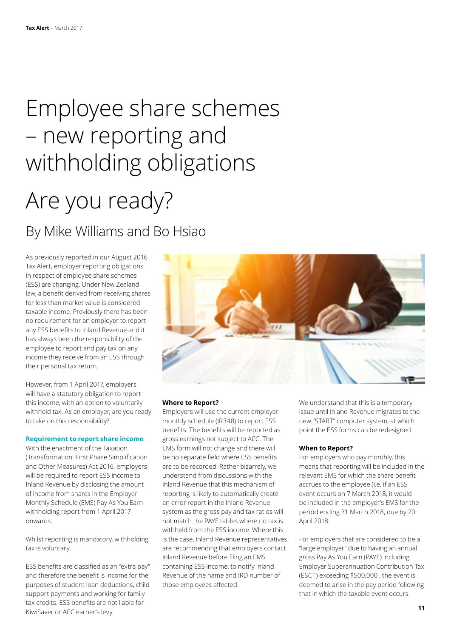# <span id="page-10-0"></span>Employee share schemes – new reporting and withholding obligations

# Are you ready?

By Mike Williams and Bo Hsiao

As previously reported in our August 2016 Tax Alert, employer reporting obligations in respect of employee share schemes (ESS) are changing. Under New Zealand law, a benefit derived from receiving shares for less than market value is considered taxable income. Previously there has been no requirement for an employer to report any ESS benefits to Inland Revenue and it has always been the responsibility of the employee to report and pay tax on any income they receive from an ESS through their personal tax return.

However, from 1 April 2017, employers will have a statutory obligation to report this income, with an option to voluntarily withhold tax. As an employer, are you ready to take on this responsibility?

# **Requirement to report share income**

With the enactment of the Taxation (Transformation: First Phase Simplification and Other Measures) Act 2016, employers will be required to report ESS income to Inland Revenue by disclosing the amount of income from shares in the Employer Monthly Schedule (EMS) Pay As You Earn withholding report from 1 April 2017 onwards.

Whilst reporting is mandatory, withholding tax is voluntary.

ESS benefits are classified as an "extra pay" and therefore the benefit is income for the purposes of student loan deductions, child support payments and working for family tax credits. ESS benefits are not liable for KiwiSaver or ACC earner's levy.



### **Where to Report?**

Employers will use the current employer monthly schedule (IR348) to report ESS benefits. The benefits will be reported as gross earnings not subject to ACC. The EMS form will not change and there will be no separate field where ESS benefits are to be recorded. Rather bizarrely, we understand from discussions with the Inland Revenue that this mechanism of reporting is likely to automatically create an error report in the Inland Revenue system as the gross pay and tax ratios will not match the PAYE tables where no tax is withheld from the ESS income. Where this is the case, Inland Revenue representatives are recommending that employers contact Inland Revenue before filing an EMS containing ESS income, to notify Inland Revenue of the name and IRD number of those employees affected.

We understand that this is a temporary issue until Inland Revenue migrates to the new "START" computer system, at which point the ESS forms can be redesigned.

### **When to Report?**

For employers who pay monthly, this means that reporting will be included in the relevant EMS for which the share benefit accrues to the employee (i.e. if an ESS event occurs on 7 March 2018, it would be included in the employer's EMS for the period ending 31 March 2018, due by 20 April 2018.

For employers that are considered to be a "large employer" due to having an annual gross Pay As You Earn (PAYE) including Employer Superannuation Contribution Tax (ESCT) exceeding \$500,000 , the event is deemed to arise in the pay period following that in which the taxable event occurs.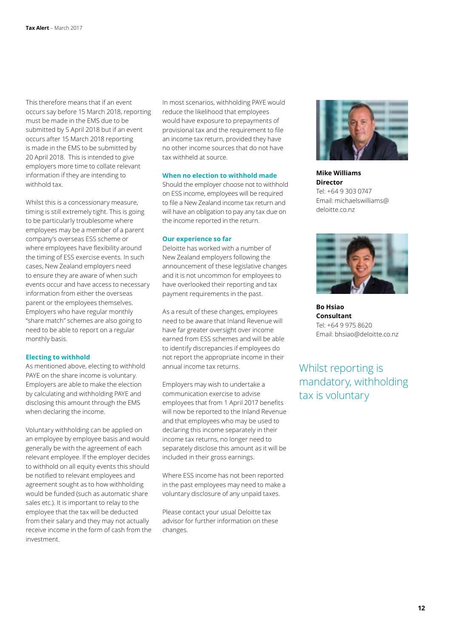This therefore means that if an event occurs say before 15 March 2018, reporting must be made in the EMS due to be submitted by 5 April 2018 but if an event occurs after 15 March 2018 reporting is made in the EMS to be submitted by 20 April 2018. This is intended to give employers more time to collate relevant information if they are intending to withhold tax.

Whilst this is a concessionary measure, timing is still extremely tight. This is going to be particularly troublesome where employees may be a member of a parent company's overseas ESS scheme or where employees have flexibility around the timing of ESS exercise events. In such cases, New Zealand employers need to ensure they are aware of when such events occur and have access to necessary information from either the overseas parent or the employees themselves. Employers who have regular monthly "share match" schemes are also going to need to be able to report on a regular monthly basis.

### **Electing to withhold**

As mentioned above, electing to withhold PAYE on the share income is voluntary. Employers are able to make the election by calculating and withholding PAYE and disclosing this amount through the EMS when declaring the income.

Voluntary withholding can be applied on an employee by employee basis and would generally be with the agreement of each relevant employee. If the employer decides to withhold on all equity events this should be notified to relevant employees and agreement sought as to how withholding would be funded (such as automatic share sales etc.). It is important to relay to the employee that the tax will be deducted from their salary and they may not actually receive income in the form of cash from the investment.

In most scenarios, withholding PAYE would reduce the likelihood that employees would have exposure to prepayments of provisional tax and the requirement to file an income tax return, provided they have no other income sources that do not have tax withheld at source.

# **When no election to withhold made**

Should the employer choose not to withhold on ESS income, employees will be required to file a New Zealand income tax return and will have an obligation to pay any tax due on the income reported in the return.

#### **Our experience so far**

Deloitte has worked with a number of New Zealand employers following the announcement of these legislative changes and it is not uncommon for employees to have overlooked their reporting and tax payment requirements in the past.

As a result of these changes, employees need to be aware that Inland Revenue will have far greater oversight over income earned from ESS schemes and will be able to identify discrepancies if employees do not report the appropriate income in their annual income tax returns.

Employers may wish to undertake a communication exercise to advise employees that from 1 April 2017 benefits will now be reported to the Inland Revenue and that employees who may be used to declaring this income separately in their income tax returns, no longer need to separately disclose this amount as it will be included in their gross earnings.

Where ESS income has not been reported in the past employees may need to make a voluntary disclosure of any unpaid taxes.

Please contact your usual Deloitte tax advisor for further information on these changes.



**Mike Williams Director** Tel: +64 9 303 0747 Email: michaelswilliams@ deloitte.co.nz



**Bo Hsiao Consultant** Tel: +64 9 975 8620 Email: bhsiao@deloitte.co.nz

Whilst reporting is mandatory, withholding tax is voluntary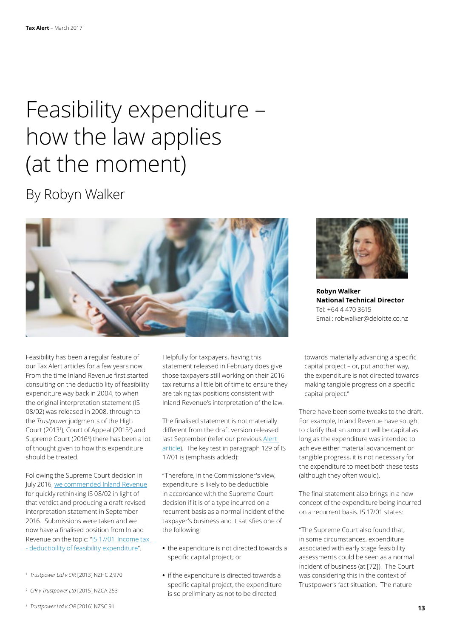# <span id="page-12-0"></span>Feasibility expenditure – how the law applies (at the moment)

By Robyn Walker



Feasibility has been a regular feature of our Tax Alert articles for a few years now. From the time Inland Revenue first started consulting on the deductibility of feasibility expenditure way back in 2004, to when the original interpretation statement (IS 08/02) was released in 2008, through to the *Trustpower* judgments of the High Court (2013<sup>1</sup>), Court of Appeal (2015<sup>2</sup>) and Supreme Court (2016<sup>3</sup>) there has been a lot of thought given to how this expenditure should be treated.

Following the Supreme Court decision in July 2016, [we commended Inland Revenue](https://www2.deloitte.com/nz/en/pages/tax-alerts/articles/its-feasible-that-feasibility-expenditure-may-still-be-deductible-sometimes.html) for quickly rethinking IS 08/02 in light of that verdict and producing a draft revised interpretation statement in September 2016. Submissions were taken and we now have a finalised position from Inland Revenue on the topic: "[IS 17/01: Income tax](http://www.ird.govt.nz/resources/5/9/59a7819f-ec1b-4db2-a54b-3ee1caff2e00/IS+1701.pdf)  [- deductibility of feasibility expenditure](http://www.ird.govt.nz/resources/5/9/59a7819f-ec1b-4db2-a54b-3ee1caff2e00/IS+1701.pdf)".

- 1 *Trustpower Ltd v CIR* [2013] NZHC 2,970
- 2 *CIR v Trustpower Ltd* [2015] NZCA 253
- 3 *Trustpower Ltd v CIR* [2016] NZSC 91

Helpfully for taxpayers, having this statement released in February does give those taxpayers still working on their 2016 tax returns a little bit of time to ensure they are taking tax positions consistent with Inland Revenue's interpretation of the law.

The finalised statement is not materially different from the draft version released last September (refer our previous Alert [article](https://www2.deloitte.com/content/dam/Deloitte/nz/Documents/tax/Tax-alert/2016/nz-en-Tax Alert-Oct-2016.pdf)). The key test in paragraph 129 of IS 17/01 is (emphasis added):

"Therefore, in the Commissioner's view, expenditure is likely to be deductible in accordance with the Supreme Court decision if it is of a type incurred on a recurrent basis as a normal incident of the taxpayer's business and it satisfies one of the following:

- **•** the expenditure is not directed towards a specific capital project; or
- **•** if the expenditure is directed towards a specific capital project, the expenditure is so preliminary as not to be directed



**Robyn Walker National Technical Director** Tel: +64 4 470 3615 Email: robwalker@deloitte.co.nz

towards materially advancing a specific capital project – or, put another way, the expenditure is not directed towards making tangible progress on a specific capital project."

There have been some tweaks to the draft. For example, Inland Revenue have sought to clarify that an amount will be capital as long as the expenditure was intended to achieve either material advancement or tangible progress, it is not necessary for the expenditure to meet both these tests (although they often would).

The final statement also brings in a new concept of the expenditure being incurred on a recurrent basis. IS 17/01 states:

"The Supreme Court also found that, in some circumstances, expenditure associated with early stage feasibility assessments could be seen as a normal incident of business (at [72]). The Court was considering this in the context of Trustpower's fact situation. The nature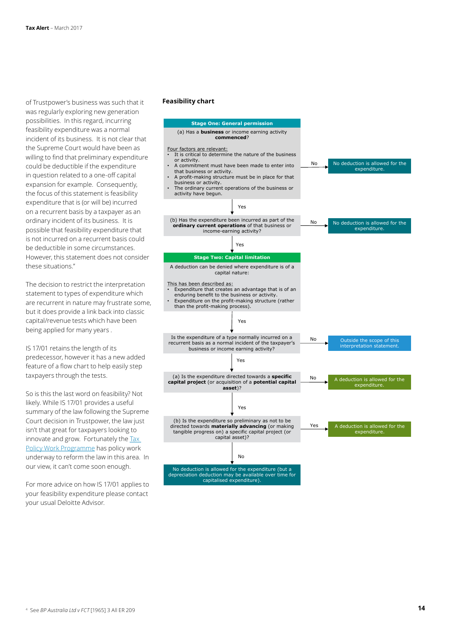of Trustpower's business was such that it was regularly exploring new generation possibilities. In this regard, incurring feasibility expenditure was a normal incident of its business. It is not clear that the Supreme Court would have been as willing to find that preliminary expenditure could be deductible if the expenditure in question related to a one-off capital expansion for example. Consequently, the focus of this statement is feasibility expenditure that is (or will be) incurred on a recurrent basis by a taxpayer as an ordinary incident of its business. It is possible that feasibility expenditure that is not incurred on a recurrent basis could be deductible in some circumstances. However, this statement does not consider these situations."

The decision to restrict the interpretation statement to types of expenditure which are recurrent in nature may frustrate some, but it does provide a link back into classic capital/revenue tests which have been being applied for many years .

IS 17/01 retains the length of its predecessor, however it has a new added feature of a flow chart to help easily step taxpayers through the tests.

So is this the last word on feasibility? Not likely. While IS 17/01 provides a useful summary of the law following the Supreme Court decision in Trustpower, the law just isn't that great for taxpayers looking to innovate and grow. Fortunately the Tax [Policy Work Programme](https://www2.deloitte.com/nz/en/pages/tax-alerts/articles/whats-is-on-the-tax-policy-agenda.html) has policy work underway to reform the law in this area. In our view, it can't come soon enough.

For more advice on how IS 17/01 applies to your feasibility expenditure please contact your usual Deloitte Advisor.

#### **Feasibility chart**

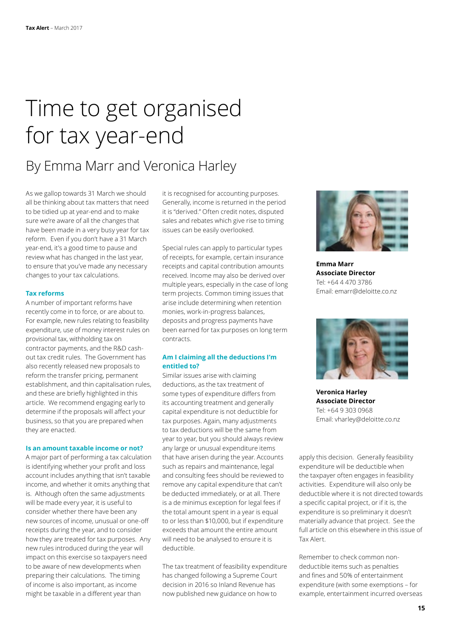# Time to get organised for tax year-end

By Emma Marr and Veronica Harley

As we gallop towards 31 March we should all be thinking about tax matters that need to be tidied up at year-end and to make sure we're aware of all the changes that have been made in a very busy year for tax reform. Even if you don't have a 31 March year-end, it's a good time to pause and review what has changed in the last year, to ensure that you've made any necessary changes to your tax calculations.

### **Tax reforms**

A number of important reforms have recently come in to force, or are about to. For example, new rules relating to feasibility expenditure, use of money interest rules on provisional tax, withholding tax on contractor payments, and the R&D cashout tax credit rules. The Government has also recently released new proposals to reform the transfer pricing, permanent establishment, and thin capitalisation rules, and these are briefly highlighted in this article. We recommend engaging early to determine if the proposals will affect your business, so that you are prepared when they are enacted.

### **Is an amount taxable income or not?**

A major part of performing a tax calculation is identifying whether your profit and loss account includes anything that isn't taxable income, and whether it omits anything that is. Although often the same adjustments will be made every year, it is useful to consider whether there have been any new sources of income, unusual or one-off receipts during the year, and to consider how they are treated for tax purposes. Any new rules introduced during the year will impact on this exercise so taxpayers need to be aware of new developments when preparing their calculations. The timing of income is also important, as income might be taxable in a different year than

it is recognised for accounting purposes. Generally, income is returned in the period it is "derived." Often credit notes, disputed sales and rebates which give rise to timing issues can be easily overlooked.

Special rules can apply to particular types of receipts, for example, certain insurance receipts and capital contribution amounts received. Income may also be derived over multiple years, especially in the case of long term projects. Common timing issues that arise include determining when retention monies, work-in-progress balances, deposits and progress payments have been earned for tax purposes on long term contracts.

# **Am I claiming all the deductions I'm entitled to?**

Similar issues arise with claiming deductions, as the tax treatment of some types of expenditure differs from its accounting treatment and generally capital expenditure is not deductible for tax purposes. Again, many adjustments to tax deductions will be the same from year to year, but you should always review any large or unusual expenditure items that have arisen during the year. Accounts such as repairs and maintenance, legal and consulting fees should be reviewed to remove any capital expenditure that can't be deducted immediately, or at all. There is a de minimus exception for legal fees if the total amount spent in a year is equal to or less than \$10,000, but if expenditure exceeds that amount the entire amount will need to be analysed to ensure it is deductible.

The tax treatment of feasibility expenditure has changed following a Supreme Court decision in 2016 so Inland Revenue has now published new guidance on how to



**Emma Marr Associate Director** Tel: +64 4 470 3786 Email: emarr@deloitte.co.nz



**Veronica Harley Associate Director** Tel: +64 9 303 0968 Email: vharley@deloitte.co.nz

apply this decision. Generally feasibility expenditure will be deductible when the taxpayer often engages in feasibility activities. Expenditure will also only be deductible where it is not directed towards a specific capital project, or if it is, the expenditure is so preliminary it doesn't materially advance that project. See the full [article](#page-12-0) on this elsewhere in this issue of Tax Alert.

Remember to check common nondeductible items such as penalties and fines and 50% of entertainment expenditure (with some exemptions – for example, entertainment incurred overseas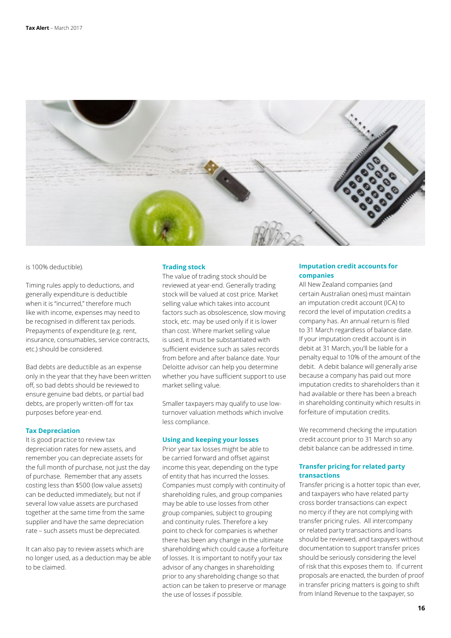

is 100% deductible).

Timing rules apply to deductions, and generally expenditure is deductible when it is "incurred," therefore much like with income, expenses may need to be recognised in different tax periods. Prepayments of expenditure (e.g. rent, insurance, consumables, service contracts, etc.) should be considered.

Bad debts are deductible as an expense only in the year that they have been written off, so bad debts should be reviewed to ensure genuine bad debts, or partial bad debts, are properly written-off for tax purposes before year-end.

# **Tax Depreciation**

It is good practice to review tax depreciation rates for new assets, and remember you can depreciate assets for the full month of purchase, not just the day of purchase. Remember that any assets costing less than \$500 (low value assets) can be deducted immediately, but not if several low value assets are purchased together at the same time from the same supplier and have the same depreciation rate – such assets must be depreciated.

It can also pay to review assets which are no longer used, as a deduction may be able to be claimed.

# **Trading stock**

The value of trading stock should be reviewed at year-end. Generally trading stock will be valued at cost price. Market selling value which takes into account factors such as obsolescence, slow moving stock, etc. may be used only if it is lower than cost. Where market selling value is used, it must be substantiated with sufficient evidence such as sales records from before and after balance date. Your Deloitte advisor can help you determine whether you have sufficient support to use market selling value.

Smaller taxpayers may qualify to use lowturnover valuation methods which involve less compliance.

### **Using and keeping your losses**

Prior year tax losses might be able to be carried forward and offset against income this year, depending on the type of entity that has incurred the losses. Companies must comply with continuity of shareholding rules, and group companies may be able to use losses from other group companies, subject to grouping and continuity rules. Therefore a key point to check for companies is whether there has been any change in the ultimate shareholding which could cause a forfeiture of losses. It is important to notify your tax advisor of any changes in shareholding prior to any shareholding change so that action can be taken to preserve or manage the use of losses if possible.

# **Imputation credit accounts for companies**

All New Zealand companies (and certain Australian ones) must maintain an imputation credit account (ICA) to record the level of imputation credits a company has. An annual return is filed to 31 March regardless of balance date. If your imputation credit account is in debit at 31 March, you'll be liable for a penalty equal to 10% of the amount of the debit. A debit balance will generally arise because a company has paid out more imputation credits to shareholders than it had available or there has been a breach in shareholding continuity which results in forfeiture of imputation credits.

We recommend checking the imputation credit account prior to 31 March so any debit balance can be addressed in time.

# **Transfer pricing for related party transactions**

Transfer pricing is a hotter topic than ever, and taxpayers who have related party cross border transactions can expect no mercy if they are not complying with transfer pricing rules. All intercompany or related party transactions and loans should be reviewed, and taxpayers without documentation to support transfer prices should be seriously considering the level of risk that this exposes them to. If current proposals are enacted, the burden of proof in transfer pricing matters is going to shift from Inland Revenue to the taxpayer, so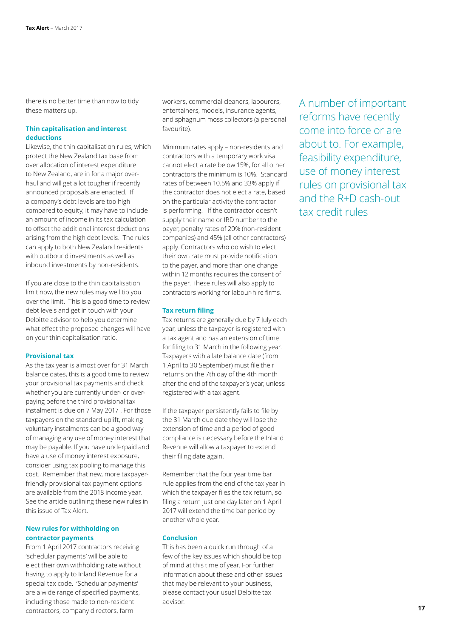there is no better time than now to tidy these matters up.

# **Thin capitalisation and interest deductions**

Likewise, the thin capitalisation rules, which protect the New Zealand tax base from over allocation of interest expenditure to New Zealand, are in for a major overhaul and will get a lot tougher if recently announced proposals are enacted. If a company's debt levels are too high compared to equity, it may have to include an amount of income in its tax calculation to offset the additional interest deductions arising from the high debt levels. The rules can apply to both New Zealand residents with outbound investments as well as inbound investments by non-residents.

If you are close to the thin capitalisation limit now, the new rules may well tip you over the limit. This is a good time to review debt levels and get in touch with your Deloitte advisor to help you determine what effect the proposed changes will have on your thin capitalisation ratio.

# **Provisional tax**

As the tax year is almost over for 31 March balance dates, this is a good time to review your provisional tax payments and check whether you are currently under- or overpaying before the third provisional tax instalment is due on 7 May 2017 . For those taxpayers on the standard uplift, making voluntary instalments can be a good way of managing any use of money interest that may be payable. If you have underpaid and have a use of money interest exposure, consider using tax pooling to manage this cost. Remember that new, more taxpayerfriendly provisional tax payment options are available from the 2018 income year. See the [article](#page-6-0) outlining these new rules in this issue of Tax Alert.

# **New rules for withholding on contractor payments**

From 1 April 2017 contractors receiving 'schedular payments' will be able to elect their own withholding rate without having to apply to Inland Revenue for a special tax code. 'Schedular payments' are a wide range of specified payments, including those made to non-resident contractors, company directors, farm

workers, commercial cleaners, labourers, entertainers, models, insurance agents, and sphagnum moss collectors (a personal favourite).

Minimum rates apply – non-residents and contractors with a temporary work visa cannot elect a rate below 15%, for all other contractors the minimum is 10%. Standard rates of between 10.5% and 33% apply if the contractor does not elect a rate, based on the particular activity the contractor is performing. If the contractor doesn't supply their name or IRD number to the payer, penalty rates of 20% (non-resident companies) and 45% (all other contractors) apply. Contractors who do wish to elect their own rate must provide notification to the payer, and more than one change within 12 months requires the consent of the payer. These rules will also apply to contractors working for labour-hire firms.

# **Tax return filing**

Tax returns are generally due by 7 July each year, unless the taxpayer is registered with a tax agent and has an extension of time for filing to 31 March in the following year. Taxpayers with a late balance date (from 1 April to 30 September) must file their returns on the 7th day of the 4th month after the end of the taxpayer's year, unless registered with a tax agent.

If the taxpayer persistently fails to file by the 31 March due date they will lose the extension of time and a period of good compliance is necessary before the Inland Revenue will allow a taxpayer to extend their filing date again.

Remember that the four year time bar rule applies from the end of the tax year in which the taxpayer files the tax return, so filing a return just one day later on 1 April 2017 will extend the time bar period by another whole year.

#### **Conclusion**

This has been a quick run through of a few of the key issues which should be top of mind at this time of year. For further information about these and other issues that may be relevant to your business, please contact your usual Deloitte tax advisor.

A number of important reforms have recently come into force or are about to. For example, feasibility expenditure, use of money interest rules on provisional tax and the R+D cash-out tax credit rules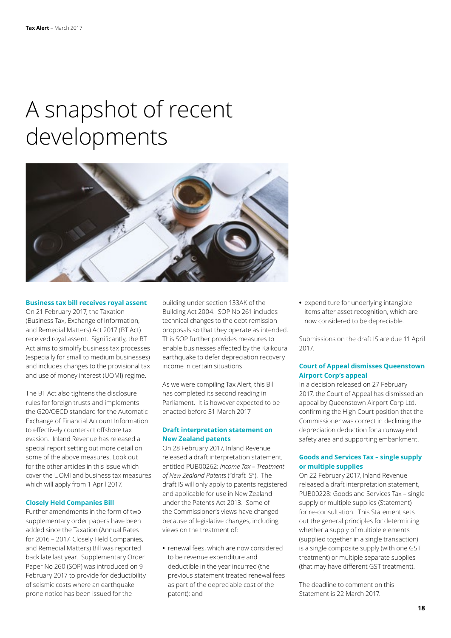# A snapshot of recent developments



#### **Business tax bill receives royal assent**

On 21 February 2017, the Taxation (Business Tax, Exchange of Information, and Remedial Matters) Act 2017 (BT Act) received royal assent. Significantly, the BT Act aims to simplify business tax processes (especially for small to medium businesses) and includes changes to the provisional tax and use of money interest (UOMI) regime.

The BT Act also tightens the disclosure rules for foreign trusts and implements the G20/OECD standard for the Automatic Exchange of Financial Account Information to effectively counteract offshore tax evasion. Inland Revenue has released a special report setting out more detail on some of the above measures. Look out for the other articles in this issue which cover the UOMI and business tax measures which will apply from 1 April 2017.

# **Closely Held Companies Bill**

Further amendments in the form of two supplementary order papers have been added since the Taxation (Annual Rates for 2016 – 2017, Closely Held Companies, and Remedial Matters) Bill was reported back late last year. Supplementary Order Paper No 260 (SOP) was introduced on 9 February 2017 to provide for deductibility of seismic costs where an earthquake prone notice has been issued for the

building under section 133AK of the Building Act 2004. SOP No 261 includes technical changes to the debt remission proposals so that they operate as intended. This SOP further provides measures to enable businesses affected by the Kaikoura earthquake to defer depreciation recovery income in certain situations.

As we were compiling Tax Alert, this Bill has completed its second reading in Parliament. It is however expected to be enacted before 31 March 2017.

# **Draft interpretation statement on New Zealand patents**

On 28 February 2017, Inland Revenue released a draft interpretation statement, entitled PUB00262: *Income Tax – Treatment of New Zealand Patents* ("draft IS"). The draft IS will only apply to patents registered and applicable for use in New Zealand under the Patents Act 2013. Some of the Commissioner's views have changed because of legislative changes, including views on the treatment of:

**•** renewal fees, which are now considered to be revenue expenditure and deductible in the year incurred (the previous statement treated renewal fees as part of the depreciable cost of the patent); and

**•** expenditure for underlying intangible items after asset recognition, which are now considered to be depreciable.

Submissions on the draft IS are due 11 April 2017.

# **Court of Appeal dismisses Queenstown Airport Corp's appeal**

In a decision released on 27 February 2017, the Court of Appeal has dismissed an appeal by Queenstown Airport Corp Ltd, confirming the High Court position that the Commissioner was correct in declining the depreciation deduction for a runway end safety area and supporting embankment.

# **Goods and Services Tax – single supply or multiple supplies**

On 22 February 2017, Inland Revenue released a draft interpretation statement, PUB00228: Goods and Services Tax – single supply or multiple supplies (Statement) for re-consultation. This Statement sets out the general principles for determining whether a supply of multiple elements (supplied together in a single transaction) is a single composite supply (with one GST treatment) or multiple separate supplies (that may have different GST treatment).

The deadline to comment on this Statement is 22 March 2017.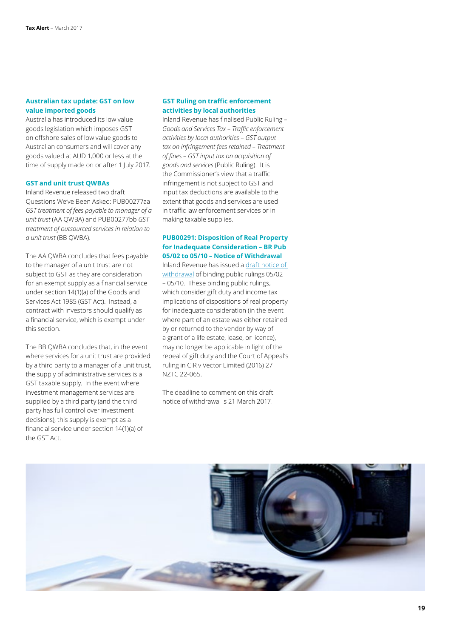# **Australian tax update: GST on low value imported goods**

Australia has introduced its low value goods legislation which imposes GST on offshore sales of low value goods to Australian consumers and will cover any goods valued at AUD 1,000 or less at the time of supply made on or after 1 July 2017.

# **GST and unit trust QWBAs**

Inland Revenue released two draft Questions We've Been Asked: PUB00277aa *GST treatment of fees payable to manager of a unit trust* (AA QWBA) and PUB00277bb *GST treatment of outsourced services in relation to a unit trust* (BB QWBA).

The AA QWBA concludes that fees payable to the manager of a unit trust are not subject to GST as they are consideration for an exempt supply as a financial service under section 14(1)(a) of the Goods and Services Act 1985 (GST Act). Instead, a contract with investors should qualify as a financial service, which is exempt under this section.

The BB QWBA concludes that, in the event where services for a unit trust are provided by a third party to a manager of a unit trust, the supply of administrative services is a GST taxable supply. In the event where investment management services are supplied by a third party (and the third party has full control over investment decisions), this supply is exempt as a financial service under section 14(1)(a) of the GST Act.

# **GST Ruling on traffic enforcement activities by local authorities**

Inland Revenue has finalised Public Ruling – *Goods and Services Tax – Traffic enforcement activities by local authorities* – *GST output tax on infringement fees retained – Treatment of fines – GST input tax on acquisition of goods and services* (Public Ruling). It is the Commissioner's view that a traffic infringement is not subject to GST and input tax deductions are available to the extent that goods and services are used in traffic law enforcement services or in making taxable supplies.

# **PUB00291: Disposition of Real Property for Inadequate Consideration – BR Pub 05/02 to 05/10 – Notice of Withdrawal**

Inland Revenue has issued a [draft notice of](http://nzwired/tax_and_private/Documents/2017 Weekly Highlights/7 - PUB00291.docx)  [withdrawal](http://nzwired/tax_and_private/Documents/2017 Weekly Highlights/7 - PUB00291.docx) of binding public rulings 05/02 – 05/10. These binding public rulings, which consider gift duty and income tax implications of dispositions of real property for inadequate consideration (in the event where part of an estate was either retained by or returned to the vendor by way of a grant of a life estate, lease, or licence), may no longer be applicable in light of the repeal of gift duty and the Court of Appeal's ruling in CIR v Vector Limited (2016) 27 NZTC 22-065.

The deadline to comment on this draft notice of withdrawal is 21 March 2017.

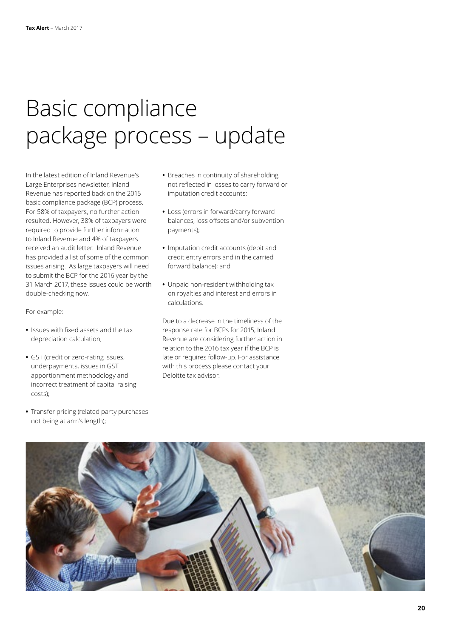# Basic compliance package process – update

In the latest edition of Inland Revenue's Large Enterprises newsletter, Inland Revenue has reported back on the 2015 basic compliance package (BCP) process. For 58% of taxpayers, no further action resulted. However, 38% of taxpayers were required to provide further information to Inland Revenue and 4% of taxpayers received an audit letter. Inland Revenue has provided a list of some of the common issues arising. As large taxpayers will need to submit the BCP for the 2016 year by the 31 March 2017, these issues could be worth double-checking now.

For example:

- **•** Issues with fixed assets and the tax depreciation calculation;
- **•** GST (credit or zero-rating issues, underpayments, issues in GST apportionment methodology and incorrect treatment of capital raising costs);
- **•** Transfer pricing (related party purchases not being at arm's length);
- **•** Breaches in continuity of shareholding not reflected in losses to carry forward or imputation credit accounts;
- **•** Loss (errors in forward/carry forward balances, loss offsets and/or subvention payments);
- **•** Imputation credit accounts (debit and credit entry errors and in the carried forward balance); and
- **•** Unpaid non-resident withholding tax on royalties and interest and errors in calculations.

Due to a decrease in the timeliness of the response rate for BCPs for 2015, Inland Revenue are considering further action in relation to the 2016 tax year if the BCP is late or requires follow-up. For assistance with this process please contact your Deloitte tax advisor.